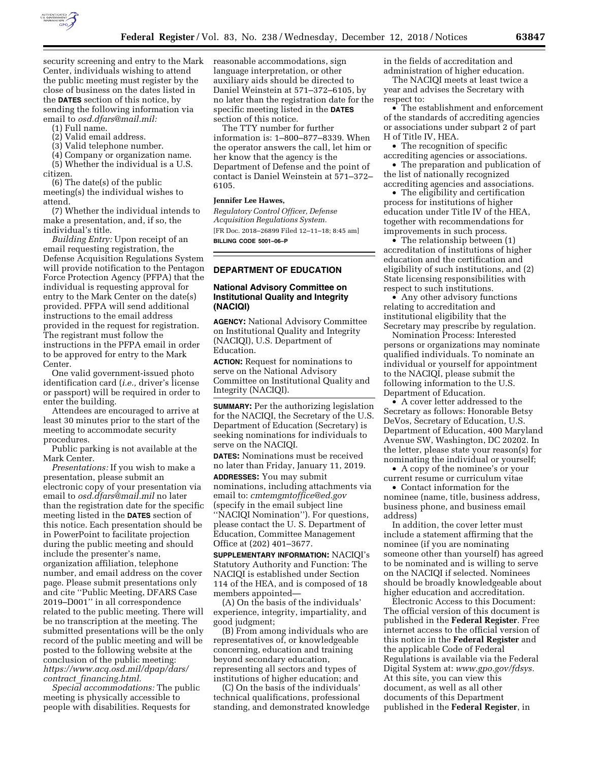

security screening and entry to the Mark Center, individuals wishing to attend the public meeting must register by the close of business on the dates listed in the **DATES** section of this notice, by sending the following information via email to *[osd.dfars@mail.mil:](mailto:osd.dfars@mail.mil)* 

- (1) Full name.
- (2) Valid email address.
- (3) Valid telephone number.

(4) Company or organization name. (5) Whether the individual is a U.S. citizen.

(6) The date(s) of the public meeting(s) the individual wishes to attend.

(7) Whether the individual intends to make a presentation, and, if so, the individual's title.

*Building Entry:* Upon receipt of an email requesting registration, the Defense Acquisition Regulations System will provide notification to the Pentagon Force Protection Agency (PFPA) that the individual is requesting approval for entry to the Mark Center on the date(s) provided. PFPA will send additional instructions to the email address provided in the request for registration. The registrant must follow the instructions in the PFPA email in order to be approved for entry to the Mark Center.

One valid government-issued photo identification card (*i.e.,* driver's license or passport) will be required in order to enter the building.

Attendees are encouraged to arrive at least 30 minutes prior to the start of the meeting to accommodate security procedures.

Public parking is not available at the Mark Center.

*Presentations:* If you wish to make a presentation, please submit an electronic copy of your presentation via email to *[osd.dfars@mail.mil](mailto:osd.dfars@mail.mil)* no later than the registration date for the specific meeting listed in the **DATES** section of this notice. Each presentation should be in PowerPoint to facilitate projection during the public meeting and should include the presenter's name, organization affiliation, telephone number, and email address on the cover page. Please submit presentations only and cite ''Public Meeting, DFARS Case 2019–D001'' in all correspondence related to the public meeting. There will be no transcription at the meeting. The submitted presentations will be the only record of the public meeting and will be posted to the following website at the conclusion of the public meeting: *[https://www.acq.osd.mil/dpap/dars/](https://www.acq.osd.mil/dpap/dars/contract_financing.html) contract*\_*[financing.html.](https://www.acq.osd.mil/dpap/dars/contract_financing.html)* 

*Special accommodations:* The public meeting is physically accessible to people with disabilities. Requests for

reasonable accommodations, sign language interpretation, or other auxiliary aids should be directed to Daniel Weinstein at 571–372–6105, by no later than the registration date for the specific meeting listed in the **DATES** section of this notice.

The TTY number for further information is: 1–800–877–8339. When the operator answers the call, let him or her know that the agency is the Department of Defense and the point of contact is Daniel Weinstein at 571–372– 6105.

#### **Jennifer Lee Hawes,**

*Regulatory Control Officer, Defense Acquisition Regulations System.*  [FR Doc. 2018–26899 Filed 12–11–18; 8:45 am] **BILLING CODE 5001–06–P** 

### **DEPARTMENT OF EDUCATION**

# **National Advisory Committee on Institutional Quality and Integrity (NACIQI)**

**AGENCY:** National Advisory Committee on Institutional Quality and Integrity (NACIQI), U.S. Department of Education.

**ACTION:** Request for nominations to serve on the National Advisory Committee on Institutional Quality and Integrity (NACIQI).

**SUMMARY:** Per the authorizing legislation for the NACIQI, the Secretary of the U.S. Department of Education (Secretary) is seeking nominations for individuals to serve on the NACIQI.

**DATES:** Nominations must be received no later than Friday, January 11, 2019.

**ADDRESSES:** You may submit nominations, including attachments via email to: *[cmtemgmtoffice@ed.gov](mailto:cmtemgmtoffice@ed.gov)*  (specify in the email subject line ''NACIQI Nomination''). For questions, please contact the U. S. Department of Education, Committee Management Office at (202) 401–3677.

**SUPPLEMENTARY INFORMATION:** NACIQI's Statutory Authority and Function: The NACIQI is established under Section 114 of the HEA, and is composed of 18 members appointed—

(A) On the basis of the individuals' experience, integrity, impartiality, and good judgment;

(B) From among individuals who are representatives of, or knowledgeable concerning, education and training beyond secondary education, representing all sectors and types of institutions of higher education; and

(C) On the basis of the individuals' technical qualifications, professional standing, and demonstrated knowledge in the fields of accreditation and administration of higher education.

The NACIQI meets at least twice a year and advises the Secretary with respect to:

• The establishment and enforcement of the standards of accrediting agencies or associations under subpart 2 of part H of Title IV, HEA.

• The recognition of specific accrediting agencies or associations.

• The preparation and publication of the list of nationally recognized accrediting agencies and associations.

• The eligibility and certification process for institutions of higher education under Title IV of the HEA, together with recommendations for improvements in such process.

• The relationship between (1) accreditation of institutions of higher education and the certification and eligibility of such institutions, and (2) State licensing responsibilities with respect to such institutions.

• Any other advisory functions relating to accreditation and institutional eligibility that the Secretary may prescribe by regulation.

Nomination Process: Interested persons or organizations may nominate qualified individuals. To nominate an individual or yourself for appointment to the NACIQI, please submit the following information to the U.S. Department of Education.

• A cover letter addressed to the Secretary as follows: Honorable Betsy DeVos, Secretary of Education, U.S. Department of Education, 400 Maryland Avenue SW, Washington, DC 20202. In the letter, please state your reason(s) for nominating the individual or yourself;

• A copy of the nominee's or your current resume or curriculum vitae

• Contact information for the nominee (name, title, business address, business phone, and business email address)

In addition, the cover letter must include a statement affirming that the nominee (if you are nominating someone other than yourself) has agreed to be nominated and is willing to serve on the NACIQI if selected. Nominees should be broadly knowledgeable about higher education and accreditation.

Electronic Access to this Document: The official version of this document is published in the **Federal Register**. Free internet access to the official version of this notice in the **Federal Register** and the applicable Code of Federal Regulations is available via the Federal Digital System at: *[www.gpo.gov/fdsys.](http://www.gpo.gov/fdsys)*  At this site, you can view this document, as well as all other documents of this Department published in the **Federal Register**, in